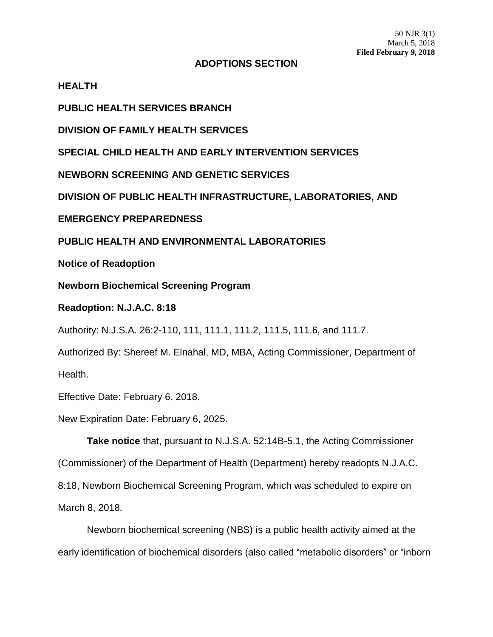## **ADOPTIONS SECTION**

**HEALTH**

**PUBLIC HEALTH SERVICES BRANCH**

**DIVISION OF FAMILY HEALTH SERVICES**

**SPECIAL CHILD HEALTH AND EARLY INTERVENTION SERVICES**

**NEWBORN SCREENING AND GENETIC SERVICES**

**DIVISION OF PUBLIC HEALTH INFRASTRUCTURE, LABORATORIES, AND**

**EMERGENCY PREPAREDNESS**

**PUBLIC HEALTH AND ENVIRONMENTAL LABORATORIES**

**Notice of Readoption**

**Newborn Biochemical Screening Program**

**Readoption: N.J.A.C. 8:18**

Authority: N.J.S.A. 26:2-110, 111, 111.1, 111.2, 111.5, 111.6, and 111.7.

Authorized By: Shereef M. Elnahal, MD, MBA, Acting Commissioner, Department of Health.

Effective Date: February 6, 2018.

New Expiration Date: February 6, 2025.

**Take notice** that, pursuant to N.J.S.A. 52:14B-5.1, the Acting Commissioner (Commissioner) of the Department of Health (Department) hereby readopts N.J.A.C. 8:18, Newborn Biochemical Screening Program, which was scheduled to expire on March 8, 2018.

Newborn biochemical screening (NBS) is a public health activity aimed at the early identification of biochemical disorders (also called "metabolic disorders" or "inborn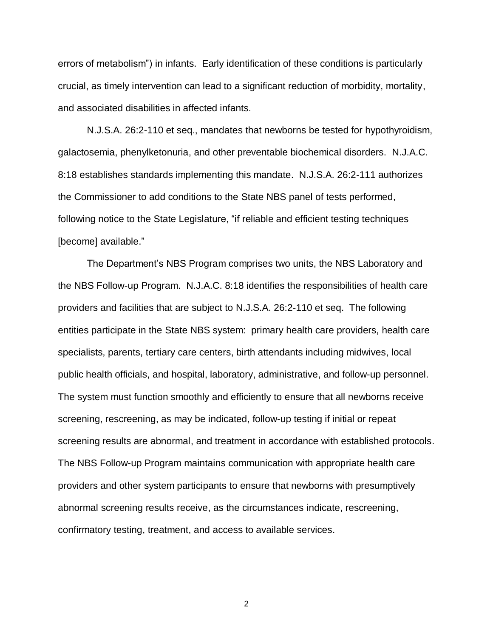errors of metabolism") in infants. Early identification of these conditions is particularly crucial, as timely intervention can lead to a significant reduction of morbidity, mortality, and associated disabilities in affected infants.

N.J.S.A. 26:2-110 et seq., mandates that newborns be tested for hypothyroidism, galactosemia, phenylketonuria, and other preventable biochemical disorders. N.J.A.C. 8:18 establishes standards implementing this mandate. N.J.S.A. 26:2-111 authorizes the Commissioner to add conditions to the State NBS panel of tests performed, following notice to the State Legislature, "if reliable and efficient testing techniques [become] available."

The Department's NBS Program comprises two units, the NBS Laboratory and the NBS Follow-up Program. N.J.A.C. 8:18 identifies the responsibilities of health care providers and facilities that are subject to N.J.S.A. 26:2-110 et seq. The following entities participate in the State NBS system: primary health care providers, health care specialists, parents, tertiary care centers, birth attendants including midwives, local public health officials, and hospital, laboratory, administrative, and follow-up personnel. The system must function smoothly and efficiently to ensure that all newborns receive screening, rescreening, as may be indicated, follow-up testing if initial or repeat screening results are abnormal, and treatment in accordance with established protocols. The NBS Follow-up Program maintains communication with appropriate health care providers and other system participants to ensure that newborns with presumptively abnormal screening results receive, as the circumstances indicate, rescreening, confirmatory testing, treatment, and access to available services.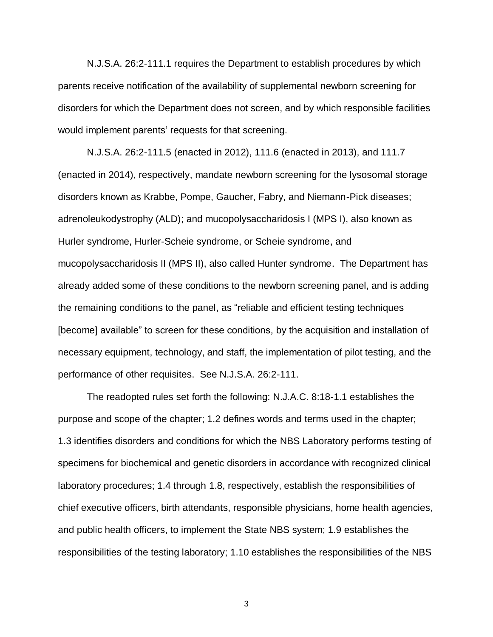N.J.S.A. 26:2-111.1 requires the Department to establish procedures by which parents receive notification of the availability of supplemental newborn screening for disorders for which the Department does not screen, and by which responsible facilities would implement parents' requests for that screening.

N.J.S.A. 26:2-111.5 (enacted in 2012), 111.6 (enacted in 2013), and 111.7 (enacted in 2014), respectively, mandate newborn screening for the lysosomal storage disorders known as Krabbe, Pompe, Gaucher, Fabry, and Niemann-Pick diseases; adrenoleukodystrophy (ALD); and mucopolysaccharidosis I (MPS I), also known as Hurler syndrome, Hurler-Scheie syndrome, or Scheie syndrome, and mucopolysaccharidosis II (MPS II), also called Hunter syndrome. The Department has already added some of these conditions to the newborn screening panel, and is adding the remaining conditions to the panel, as "reliable and efficient testing techniques [become] available" to screen for these conditions, by the acquisition and installation of necessary equipment, technology, and staff, the implementation of pilot testing, and the performance of other requisites. See N.J.S.A. 26:2-111.

The readopted rules set forth the following: N.J.A.C. 8:18-1.1 establishes the purpose and scope of the chapter; 1.2 defines words and terms used in the chapter; 1.3 identifies disorders and conditions for which the NBS Laboratory performs testing of specimens for biochemical and genetic disorders in accordance with recognized clinical laboratory procedures; 1.4 through 1.8, respectively, establish the responsibilities of chief executive officers, birth attendants, responsible physicians, home health agencies, and public health officers, to implement the State NBS system; 1.9 establishes the responsibilities of the testing laboratory; 1.10 establishes the responsibilities of the NBS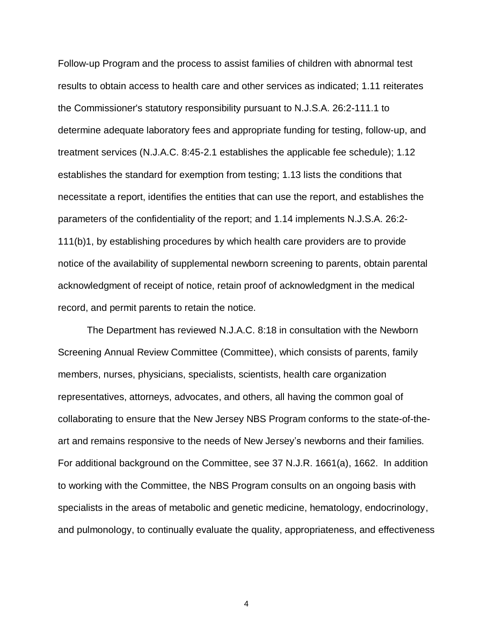Follow-up Program and the process to assist families of children with abnormal test results to obtain access to health care and other services as indicated; 1.11 reiterates the Commissioner's statutory responsibility pursuant to N.J.S.A. 26:2-111.1 to determine adequate laboratory fees and appropriate funding for testing, follow-up, and treatment services (N.J.A.C. 8:45-2.1 establishes the applicable fee schedule); 1.12 establishes the standard for exemption from testing; 1.13 lists the conditions that necessitate a report, identifies the entities that can use the report, and establishes the parameters of the confidentiality of the report; and 1.14 implements N.J.S.A. 26:2- 111(b)1, by establishing procedures by which health care providers are to provide notice of the availability of supplemental newborn screening to parents, obtain parental acknowledgment of receipt of notice, retain proof of acknowledgment in the medical record, and permit parents to retain the notice.

The Department has reviewed N.J.A.C. 8:18 in consultation with the Newborn Screening Annual Review Committee (Committee), which consists of parents, family members, nurses, physicians, specialists, scientists, health care organization representatives, attorneys, advocates, and others, all having the common goal of collaborating to ensure that the New Jersey NBS Program conforms to the state-of-theart and remains responsive to the needs of New Jersey's newborns and their families. For additional background on the Committee, see 37 N.J.R. 1661(a), 1662. In addition to working with the Committee, the NBS Program consults on an ongoing basis with specialists in the areas of metabolic and genetic medicine, hematology, endocrinology, and pulmonology, to continually evaluate the quality, appropriateness, and effectiveness